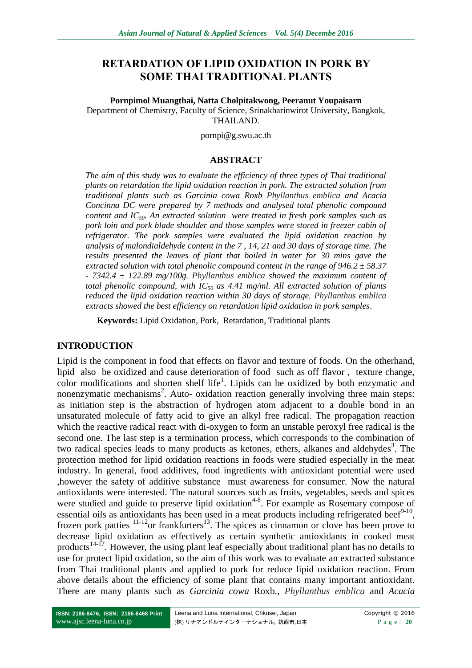# **RETARDATION OF LIPID OXIDATION IN PORK BY SOME THAI TRADITIONAL PLANTS**

#### **Pornpimol Muangthai, Natta Cholpitakwong, Peeranut Youpaisarn**

Department of Chemistry, Faculty of Science, Srinakharinwirot University, Bangkok, THAILAND.

pornpi@g.swu.ac.th

#### **ABSTRACT**

*The aim of this study was to evaluate the efficiency of three types of Thai traditional plants on retardation the lipid oxidation reaction in pork. The extracted solution from traditional plants such as Garcinia cowa Roxb Phyllanthus emblica and Acacia Concinna DC were prepared by 7 methods and analysed total phenolic compound content and IC50. An extracted solution were treated in fresh pork samples such as pork loin and pork blade shoulder and those samples were stored in freezer cabin of refrigerator. The pork samples were evaluated the lipid oxidation reaction by analysis of malondialdehyde content in the 7 , 14, 21 and 30 days of storage time. The results presented the leaves of plant that boiled in water for 30 mins gave the extracted solution with total phenolic compound content in the range of 946.2 ± 58.37 - 7342.4 ± 122.89 mg/100g. Phyllanthus emblica showed the maximum content of total phenolic compound, with IC<sup>50</sup> as 4.41 mg/ml. All extracted solution of plants reduced the lipid oxidation reaction within 30 days of storage. Phyllanthus emblica extracts showed the best efficiency on retardation lipid oxidation in pork samples*.

**Keywords:** Lipid Oxidation, Pork, Retardation, Traditional plants

#### **INTRODUCTION**

Lipid is the component in food that effects on flavor and texture of foods. On the otherhand, lipid also be oxidized and cause deterioration of food such as off flavor , texture change, color modifications and shorten shelf life<sup>1</sup>. Lipids can be oxidized by both enzymatic and nonenzymatic mechanisms<sup>2</sup>. Auto- oxidation reaction generally involving three main steps: as initiation step is the abstraction of hydrogen atom adjacent to a double bond in an unsaturated molecule of fatty acid to give an alkyl free radical. The propagation reaction which the reactive radical react with di-oxygen to form an unstable peroxyl free radical is the second one. The last step is a termination process, which corresponds to the combination of two radical species leads to many products as ketones, ethers, alkanes and aldehydes<sup>3</sup>. The protection method for lipid oxidation reactions in foods were studied especially in the meat industry. In general, food additives, food ingredients with antioxidant potential were used ,however the safety of additive substance must awareness for consumer. Now the natural antioxidants were interested. The natural sources such as fruits, vegetables, seeds and spices were studied and guide to preserve lipid oxidation<sup>4-8</sup>. For example as Rosemary compose of essential oils as antioxidants has been used in a meat products including refrigerated beef $9-10$ , frozen pork patties  $11-12$ or frankfurters<sup>13</sup>. The spices as cinnamon or clove has been prove to decrease lipid oxidation as effectively as certain synthetic antioxidants in cooked meat products<sup>14-17</sup>. However, the using plant leaf especially about traditional plant has no details to use for protect lipid oxidation, so the aim of this work was to evaluate an extracted substance from Thai traditional plants and applied to pork for reduce lipid oxidation reaction. From above details about the efficiency of some plant that contains many important antioxidant. There are many plants such as *Garcinia cowa* Roxb., *Phyllanthus emblica* and *Acacia*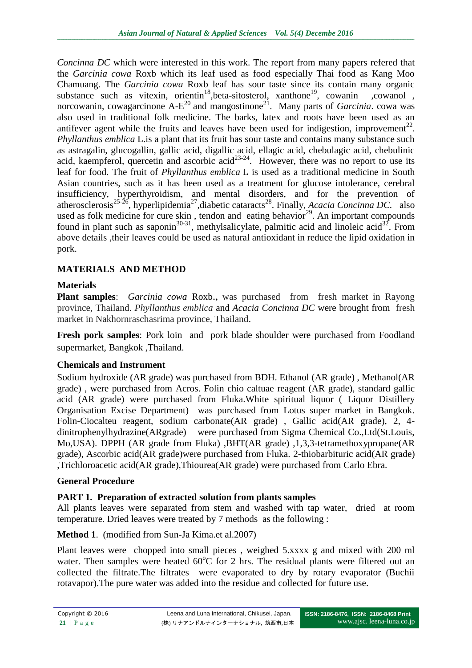*Concinna DC* which were interested in this work. The report from many papers refered that the *Garcinia cowa* Roxb which its leaf used as food especially Thai food as Kang Moo Chamuang. The *Garcinia cowa* Roxb leaf has sour taste since its contain many organic substance such as vitexin, orientin<sup>18</sup>, beta-sitosterol, xanthone<sup>19</sup>, cowanin , cowanol, norcowanin, cowagarcinone  $A-E^{20}$  and mangostinone<sup>21</sup>. Many parts of *Garcinia*. cowa was also used in traditional folk medicine. The barks, latex and roots have been used as an antifever agent while the fruits and leaves have been used for indigestion, improvement<sup>22</sup>. *Phyllanthus emblica* L.is a plant that its fruit has sour taste and contains many substance such as astragalin, glucogallin, gallic acid, digallic acid, ellagic acid, chebulagic acid, chebulinic acid, kaempferol, quercetin and ascorbic  $\text{acid}^{23-24}$ . However, there was no report to use its leaf for food. The fruit of *Phyllanthus emblica* L is used as a traditional medicine in South Asian countries, such as it has been used as a treatment for glucose intolerance, cerebral insufficiency, hyperthyroidism, and mental disorders, and for the prevention of atherosclerosis<sup>25-26</sup>, hyperlipidemia<sup>27</sup>, diabetic cataracts<sup>28</sup>. Finally, *Acacia Concinna DC*. also used as folk medicine for cure skin, tendon and eating behavior $29$ . An important compounds found in plant such as saponin<sup>30-31</sup>, methylsalicylate, palmitic acid and linoleic acid<sup>32</sup>. From above details ,their leaves could be used as natural antioxidant in reduce the lipid oxidation in pork.

## **MATERIALS AND METHOD**

## **Materials**

**Plant samples**: *Garcinia cowa* Roxb., was purchased from fresh market in Rayong province, Thailand. *Phyllanthus emblica* and *Acacia Concinna DC* were brought from fresh market in Nakhornraschasrima province, Thailand.

**Fresh pork samples**: Pork loin and pork blade shoulder were purchased from Foodland supermarket, Bangkok ,Thailand.

### **Chemicals and Instrument**

Sodium hydroxide (AR grade) was purchased from BDH. Ethanol (AR grade) , Methanol(AR grade) , were purchased from Acros. Folin chio caltuae reagent (AR grade), standard gallic acid (AR grade) were purchased from Fluka.White spiritual liquor ( Liquor Distillery Organisation Excise Department) was purchased from Lotus super market in Bangkok. Folin-Ciocalteu reagent, sodium carbonate(AR grade) , Gallic acid(AR grade), 2, 4 dinitrophenylhydrazine(ARgrade) were purchased from Sigma Chemical Co.,Ltd(St.Louis, Mo,USA). DPPH (AR grade from Fluka) ,BHT(AR grade) ,1,3,3-tetramethoxypropane(AR grade), Ascorbic acid(AR grade)were purchased from Fluka. 2-thiobarbituric acid(AR grade) ,Trichloroacetic acid(AR grade),Thiourea(AR grade) were purchased from Carlo Ebra.

### **General Procedure**

### **PART 1. Preparation of extracted solution from plants samples**

All plants leaves were separated from stem and washed with tap water, dried at room temperature. Dried leaves were treated by 7 methods as the following :

### **Method 1**. (modified from Sun-Ja Kima.et al.2007)

Plant leaves were chopped into small pieces , weighed 5.xxxx g and mixed with 200 ml water. Then samples were heated  $60^{\circ}$ C for 2 hrs. The residual plants were filtered out an collected the filtrate.The filtrates were evaporated to dry by rotary evaporator (Buchii rotavapor).The pure water was added into the residue and collected for future use.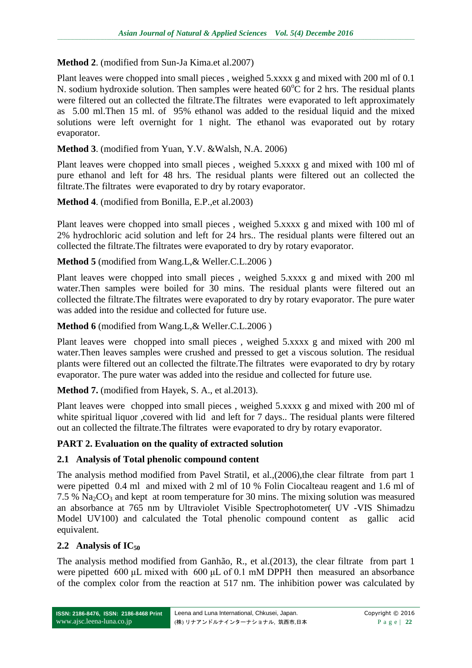### **Method 2**. (modified from Sun-Ja Kima.et al.2007)

Plant leaves were chopped into small pieces , weighed 5.xxxx g and mixed with 200 ml of 0.1 N. sodium hydroxide solution. Then samples were heated  $60^{\circ}$ C for 2 hrs. The residual plants were filtered out an collected the filtrate.The filtrates were evaporated to left approximately as 5.00 ml.Then 15 ml. of 95% ethanol was added to the residual liquid and the mixed solutions were left overnight for 1 night. The ethanol was evaporated out by rotary evaporator.

### **Method 3**. (modified from Yuan, Y.V. &Walsh, N.A. 2006)

Plant leaves were chopped into small pieces , weighed 5.xxxx g and mixed with 100 ml of pure ethanol and left for 48 hrs. The residual plants were filtered out an collected the filtrate.The filtrates were evaporated to dry by rotary evaporator.

### **Method 4**. (modified from Bonilla, E.P.,et al.2003)

Plant leaves were chopped into small pieces , weighed 5.xxxx g and mixed with 100 ml of 2% hydrochloric acid solution and left for 24 hrs.. The residual plants were filtered out an collected the filtrate.The filtrates were evaporated to dry by rotary evaporator.

## **Method 5** (modified from Wang.L,& Weller.C.L.2006 )

Plant leaves were chopped into small pieces , weighed 5.xxxx g and mixed with 200 ml water.Then samples were boiled for 30 mins. The residual plants were filtered out an collected the filtrate.The filtrates were evaporated to dry by rotary evaporator. The pure water was added into the residue and collected for future use.

### **Method 6** (modified from Wang.L,& Weller.C.L.2006 )

Plant leaves were chopped into small pieces , weighed 5.xxxx g and mixed with 200 ml water.Then leaves samples were crushed and pressed to get a viscous solution. The residual plants were filtered out an collected the filtrate.The filtrates were evaporated to dry by rotary evaporator. The pure water was added into the residue and collected for future use.

### **Method 7.** (modified from Hayek, S. A., et al.2013).

Plant leaves were chopped into small pieces , weighed 5.xxxx g and mixed with 200 ml of white spiritual liquor , covered with lid and left for 7 days.. The residual plants were filtered out an collected the filtrate.The filtrates were evaporated to dry by rotary evaporator.

### **PART 2. Evaluation on the quality of extracted solution**

### **2.1 Analysis of Total phenolic compound content**

The analysis method modified from Pavel Stratil, et al.,(2006),the clear filtrate from part 1 were pipetted 0.4 ml and mixed with 2 ml of 10 % Folin Ciocalteau reagent and 1.6 ml of 7.5 %  $\text{Na}_2\text{CO}_3$  and kept at room temperature for 30 mins. The mixing solution was measured an absorbance at 765 nm by Ultraviolet Visible Spectrophotometer( UV -VIS Shimadzu Model UV100) and calculated the Total phenolic compound content as gallic acid equivalent.

### **2.2 Analysis of IC<sup>50</sup>**

The analysis method modified from Ganhão, R., et al.(2013), the clear filtrate from part 1 were pipetted 600 μL mixed with 600 μL of 0.1 mM DPPH then measured an absorbance of the complex color from the reaction at 517 nm. The inhibition power was calculated by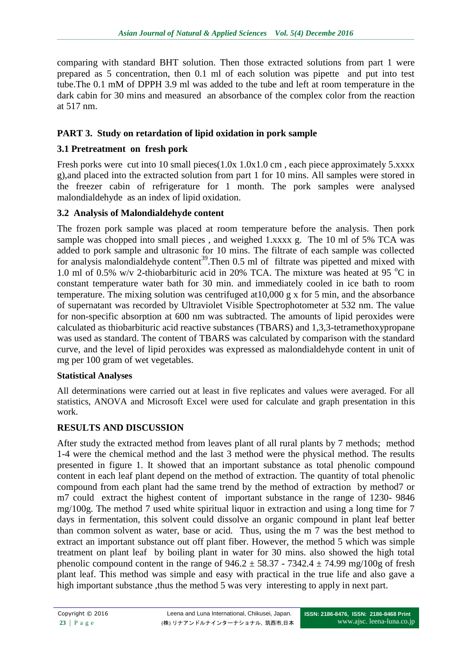comparing with standard BHT solution. Then those extracted solutions from part 1 were prepared as 5 concentration, then 0.1 ml of each solution was pipette and put into test tube.The 0.1 mM of DPPH 3.9 ml was added to the tube and left at room temperature in the dark cabin for 30 mins and measured an absorbance of the complex color from the reaction at 517 nm.

# **PART 3. Study on retardation of lipid oxidation in pork sample**

# **3.1 Pretreatment on fresh pork**

Fresh porks were cut into 10 small pieces(1.0x 1.0x1.0 cm, each piece approximately 5.xxxx g),and placed into the extracted solution from part 1 for 10 mins. All samples were stored in the freezer cabin of refrigerature for 1 month. The pork samples were analysed malondialdehyde as an index of lipid oxidation.

# **3.2 Analysis of Malondialdehyde content**

The frozen pork sample was placed at room temperature before the analysis. Then pork sample was chopped into small pieces , and weighed 1.xxxx g. The 10 ml of 5% TCA was added to pork sample and ultrasonic for 10 mins. The filtrate of each sample was collected for analysis malondialdehyde content<sup>39</sup>. Then 0.5 ml of filtrate was pipetted and mixed with 1.0 ml of 0.5% w/v 2-thiobarbituric acid in 20% TCA. The mixture was heated at 95  $^{\circ}$ C in constant temperature water bath for 30 min. and immediately cooled in ice bath to room temperature. The mixing solution was centrifuged at10,000 g x for 5 min, and the absorbance of supernatant was recorded by Ultraviolet Visible Spectrophotometer at 532 nm. The value for non-specific absorption at 600 nm was subtracted. The amounts of lipid peroxides were calculated as thiobarbituric acid reactive substances (TBARS) and 1,3,3-tetramethoxypropane was used as standard. The content of TBARS was calculated by comparison with the standard curve, and the level of lipid peroxides was expressed as malondialdehyde content in unit of mg per 100 gram of wet vegetables.

### **Statistical Analyses**

All determinations were carried out at least in five replicates and values were averaged. For all statistics, ANOVA and Microsoft Excel were used for calculate and graph presentation in this work.

# **RESULTS AND DISCUSSION**

After study the extracted method from leaves plant of all rural plants by 7 methods; method 1-4 were the chemical method and the last 3 method were the physical method. The results presented in figure 1. It showed that an important substance as total phenolic compound content in each leaf plant depend on the method of extraction. The quantity of total phenolic compound from each plant had the same trend by the method of extraction by method7 or m7 could extract the highest content of important substance in the range of 1230- 9846 mg/100g. The method 7 used white spiritual liquor in extraction and using a long time for 7 days in fermentation, this solvent could dissolve an organic compound in plant leaf better than common solvent as water, base or acid. Thus, using the m 7 was the best method to extract an important substance out off plant fiber. However, the method 5 which was simple treatment on plant leaf by boiling plant in water for 30 mins. also showed the high total phenolic compound content in the range of  $946.2 \pm 58.37 - 7342.4 \pm 74.99$  mg/100g of fresh plant leaf. This method was simple and easy with practical in the true life and also gave a high important substance, thus the method 5 was very interesting to apply in next part.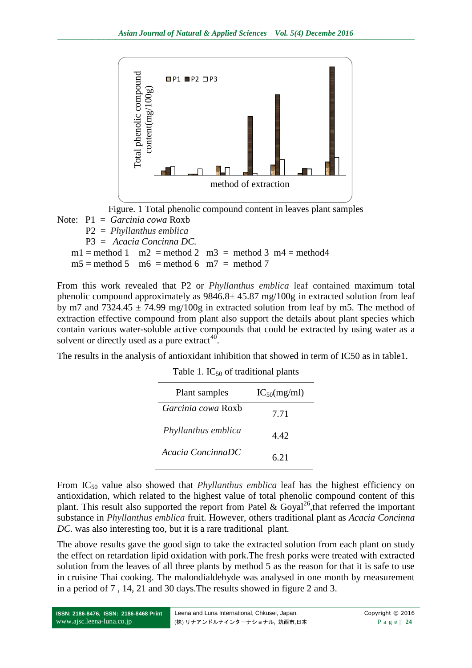



Note: P1 = *Garcinia cowa* Roxb P2 = *Phyllanthus emblica* P3 = *Acacia Concinna DC.*  $m1 =$  method 1 m2 = method 2 m3 = method 3 m4 = method 4  $m5 =$  method 5 m6 = method 6 m7 = method 7

From this work revealed that P2 or *Phyllanthus emblica* leaf contained maximum total phenolic compound approximately as  $9846.8 \pm 45.87$  mg/100g in extracted solution from leaf by m7 and  $7324.45 \pm 74.99$  mg/100g in extracted solution from leaf by m5. The method of extraction effective compound from plant also support the details about plant species which contain various water-soluble active compounds that could be extracted by using water as a solvent or directly used as a pure extract<sup>40</sup>.

The results in the analysis of antioxidant inhibition that showed in term of IC50 as in table1.

| Plant samples       | $IC_{50}(mg/ml)$ |
|---------------------|------------------|
| Garcinia cowa Roxb  | 7.71             |
| Phyllanthus emblica | 4.42             |
| Acacia ConcinnaDC   | 6.21             |

Table 1.  $IC_{50}$  of traditional plants

From IC<sup>50</sup> value also showed that *Phyllanthus emblica* leaf has the highest efficiency on antioxidation, which related to the highest value of total phenolic compound content of this plant. This result also supported the report from Patel & Goyal<sup>26</sup>, that referred the important substance in *Phyllanthus emblica* fruit. However, others traditional plant as *Acacia Concinna DC.* was also interesting too, but it is a rare traditional plant.

The above results gave the good sign to take the extracted solution from each plant on study the effect on retardation lipid oxidation with pork.The fresh porks were treated with extracted solution from the leaves of all three plants by method 5 as the reason for that it is safe to use in cruisine Thai cooking. The malondialdehyde was analysed in one month by measurement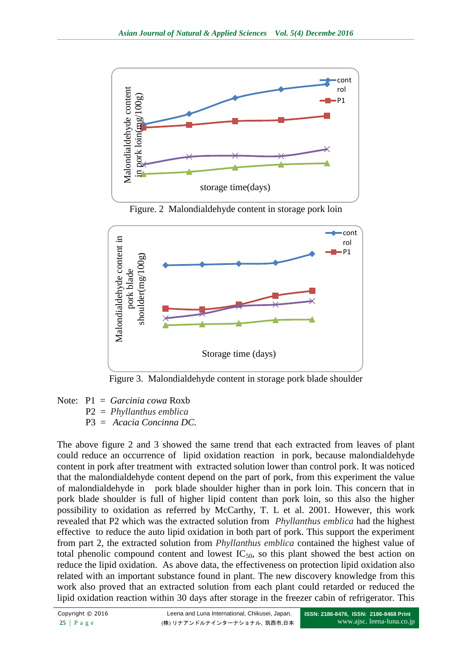

Figure. 2 Malondialdehyde content in storage pork loin



Figure 3. Malondialdehyde content in storage pork blade shoulder

Note: P1 = *Garcinia cowa* Roxb P2 = *Phyllanthus emblica* P3 = *Acacia Concinna DC.*

The above figure 2 and 3 showed the same trend that each extracted from leaves of plant could reduce an occurrence of lipid oxidation reaction in pork, because malondialdehyde content in pork after treatment with extracted solution lower than control pork. It was noticed that the malondialdehyde content depend on the part of pork, from this experiment the value of malondialdehyde in pork blade shoulder higher than in pork loin. This concern that in pork blade shoulder is full of higher lipid content than pork loin, so this also the higher possibility to oxidation as referred by McCarthy, T. L et al. 2001. However, this work revealed that P2 which was the extracted solution from *Phyllanthus emblica* had the highest effective to reduce the auto lipid oxidation in both part of pork. This support the experiment from part 2, the extracted solution from *Phyllanthus emblica* contained the highest value of total phenolic compound content and lowest  $IC_{50}$ , so this plant showed the best action on reduce the lipid oxidation. As above data, the effectiveness on protection lipid oxidation also related with an important substance found in plant. The new discovery knowledge from this work also proved that an extracted solution from each plant could retarded or reduced the **Example of the storage in the freezer cabin of reaction reaction reaction**  $\frac{1}{2}$  and  $\frac{1}{2}$  and  $\frac{1}{2}$  and  $\frac{1}{2}$  and  $\frac{1}{2}$  and  $\frac{1}{2}$  and  $\frac{1}{2}$  and  $\frac{1}{2}$  and  $\frac{1}{2}$  and  $\frac{1}{2}$  and  $\frac{1$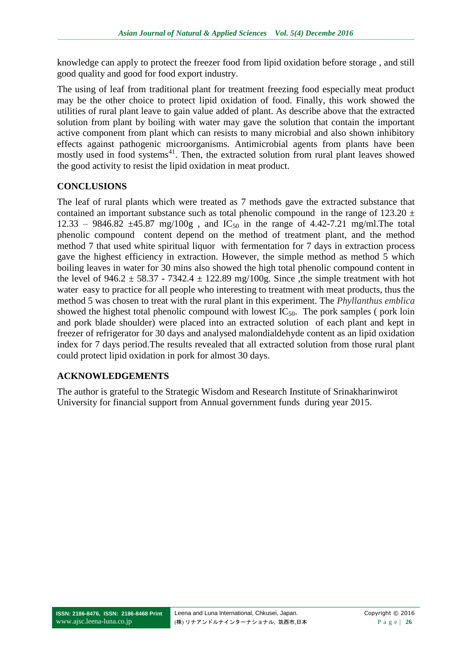knowledge can apply to protect the freezer food from lipid oxidation before storage , and still good quality and good for food export industry.

The using of leaf from traditional plant for treatment freezing food especially meat product may be the other choice to protect lipid oxidation of food. Finally, this work showed the utilities of rural plant leave to gain value added of plant. As describe above that the extracted solution from plant by boiling with water may gave the solution that contain the important active component from plant which can resists to many microbial and also shown inhibitory effects against pathogenic microorganisms. Antimicrobial agents from plants have been mostly used in food systems<sup>41</sup>. Then, the extracted solution from rural plant leaves showed the good activity to resist the lipid oxidation in meat product.

## **CONCLUSIONS**

The leaf of rural plants which were treated as 7 methods gave the extracted substance that contained an important substance such as total phenolic compound in the range of  $123.20 \pm 10^{-1}$  $12.33 - 9846.82 \pm 45.87$  mg/100g, and IC<sub>50</sub> in the range of 4.42-7.21 mg/ml. The total phenolic compound content depend on the method of treatment plant, and the method method 7 that used white spiritual liquor with fermentation for 7 days in extraction process gave the highest efficiency in extraction. However, the simple method as method 5 which boiling leaves in water for 30 mins also showed the high total phenolic compound content in the level of  $946.2 \pm 58.37 - 7342.4 \pm 122.89$  mg/100g. Since the simple treatment with hot water easy to practice for all people who interesting to treatment with meat products, thus the method 5 was chosen to treat with the rural plant in this experiment. The *Phyllanthus emblica* showed the highest total phenolic compound with lowest  $IC_{50}$ . The pork samples ( pork loin and pork blade shoulder) were placed into an extracted solution of each plant and kept in freezer of refrigerator for 30 days and analysed malondialdehyde content as an lipid oxidation index for 7 days period.The results revealed that all extracted solution from those rural plant could protect lipid oxidation in pork for almost 30 days.

# **ACKNOWLEDGEMENTS**

The author is grateful to the Strategic Wisdom and Research Institute of Srinakharinwirot University for financial support from Annual government funds during year 2015.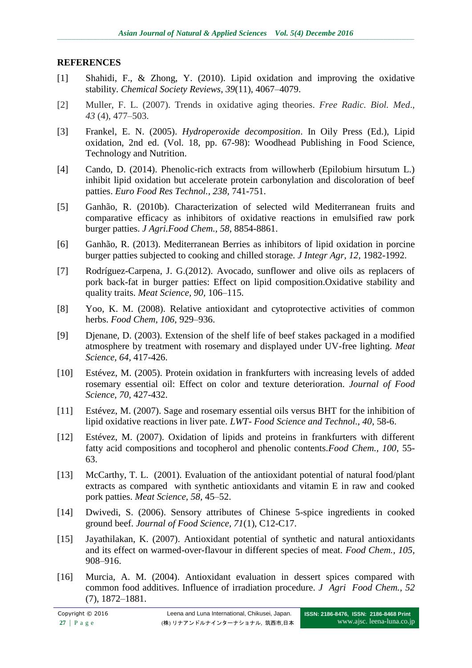### **REFERENCES**

- [1] Shahidi, F., & Zhong, Y. (2010). Lipid oxidation and improving the oxidative stability. *Chemical Society Reviews*, *39*(11), 4067–4079.
- [2] Muller, F. L. (2007). Trends in oxidative aging theories. *Free Radic. Biol. Med*.*, 43* (4), 477–503.
- [3] Frankel, E. N. (2005). *Hydroperoxide decomposition*. In Oily Press (Ed.), Lipid oxidation, 2nd ed. (Vol. 18, pp. 67-98): Woodhead Publishing in Food Science, Technology and Nutrition.
- [4] Cando, D. (2014). Phenolic-rich extracts from willowherb (Epilobium hirsutum L.) inhibit lipid oxidation but accelerate protein carbonylation and discoloration of beef patties. *Euro Food Res Technol., 238,* 741-751.
- [5] Ganhão, R. (2010b). Characterization of selected wild Mediterranean fruits and comparative efficacy as inhibitors of oxidative reactions in emulsified raw pork burger patties. *J Agri.Food Chem., 58*, 8854-8861.
- [6] Ganhão, R. (2013). Mediterranean Berries as inhibitors of lipid oxidation in porcine burger patties subjected to cooking and chilled storage. *J Integr Agr, 12,* 1982-1992.
- [7] Rodríguez-Carpena, J. G.(2012). Avocado, sunflower and olive oils as replacers of pork back-fat in burger patties: Effect on lipid composition.Oxidative stability and quality traits. *Meat Science, 90,* 106–115.
- [8] Yoo, K. M. (2008). Relative antioxidant and cytoprotective activities of common herbs. *Food Chem, 106,* 929–936.
- [9] Djenane, D. (2003). Extension of the shelf life of beef stakes packaged in a modified atmosphere by treatment with rosemary and displayed under UV-free lighting. *Meat Science, 64,* 417-426.
- [10] Estévez, M. (2005). Protein oxidation in frankfurters with increasing levels of added rosemary essential oil: Effect on color and texture deterioration. *Journal of Food Science, 70,* 427-432.
- [11] Estévez, M. (2007). Sage and rosemary essential oils versus BHT for the inhibition of lipid oxidative reactions in liver pate. *LWT- Food Science and Technol., 40*, 58-6.
- [12] Estévez, M. (2007). Oxidation of lipids and proteins in frankfurters with different fatty acid compositions and tocopherol and phenolic contents.*Food Chem., 100*, 55- 63.
- [13] McCarthy, T. L. (2001). Evaluation of the antioxidant potential of natural food/plant extracts as compared with synthetic antioxidants and vitamin E in raw and cooked pork patties. *Meat Science, 58,* 45–52.
- [14] Dwivedi, S. (2006). Sensory attributes of Chinese 5-spice ingredients in cooked ground beef. *Journal of Food Science, 71*(1), C12-C17.
- [15] Jayathilakan, K. (2007). Antioxidant potential of synthetic and natural antioxidants and its effect on warmed-over-flavour in different species of meat. *Food Chem., 105,* 908–916.
- [16] Murcia, A. M. (2004). Antioxidant evaluation in dessert spices compared with common food additives. Influence of irradiation procedure. *J Agri Food Chem., 52* (7), 1872–1881.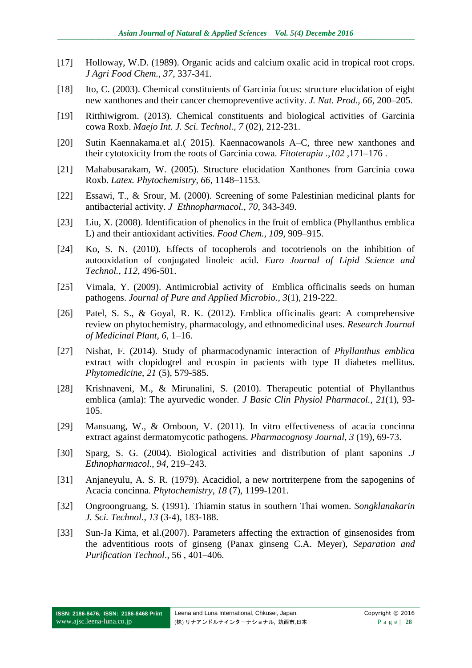- [17] Holloway, W.D. (1989). Organic acids and calcium oxalic acid in tropical root crops. *J Agri Food Chem., 37*, 337-341.
- [18] Ito, C. (2003). Chemical constituients of Garcinia fucus: structure elucidation of eight new xanthones and their cancer chemopreventive activity. *J. Nat. Prod., 66*, 200–205.
- [19] Ritthiwigrom. (2013). Chemical constituents and biological activities of Garcinia cowa Roxb. *Maejo Int. J. Sci. Technol., 7* (02), 212-231.
- [20] Sutin Kaennakama.et al.( 2015). Kaennacowanols A–C, three new xanthones and their cytotoxicity from the roots of Garcinia cowa. *Fitoterapia .,102* ,171–176 .
- [21] Mahabusarakam, W. (2005). Structure elucidation Xanthones from Garcinia cowa Roxb. *Latex. Phytochemistry, 66*, 1148–1153.
- [22] Essawi, T., & Srour, M. (2000). Screening of some Palestinian medicinal plants for antibacterial activity. *J Ethnopharmacol., 70*, 343-349.
- [23] Liu, X. (2008). Identification of phenolics in the fruit of emblica (Phyllanthus emblica L) and their antioxidant activities. *Food Chem., 109*, 909–915.
- [24] Ko, S. N. (2010). Effects of tocopherols and tocotrienols on the inhibition of autooxidation of conjugated linoleic acid. *Euro Journal of Lipid Science and Technol., 112*, 496-501.
- [25] Vimala, Y. (2009). Antimicrobial activity of Emblica officinalis seeds on human pathogens. *Journal of Pure and Applied Microbio., 3*(1), 219-222.
- [26] Patel, S. S., & Goyal, R. K. (2012). Emblica officinalis geart: A comprehensive review on phytochemistry, pharmacology, and ethnomedicinal uses. *Research Journal of Medicinal Plant, 6*, 1–16.
- [27] Nishat, F. (2014). Study of pharmacodynamic interaction of *Phyllanthus emblica* extract with clopidogrel and ecospin in pacients with type II diabetes mellitus. *Phytomedicine*, *21* (5), 579-585.
- [28] [Krishnaveni,](http://www.ncbi.nlm.nih.gov/pubmed/?term=Krishnaveni%20M%5BAuthor%5D&cauthor=true&cauthor_uid=20506691) M., & [Mirunalini,](http://www.ncbi.nlm.nih.gov/pubmed/?term=Mirunalini%20S%5BAuthor%5D&cauthor=true&cauthor_uid=20506691) S. (2010). Therapeutic potential of Phyllanthus emblica (amla): The ayurvedic wonder. *[J Basic Clin Physiol Pharmacol.](http://www.ncbi.nlm.nih.gov/pubmed/20506691)*, *21*(1), 93- 105.
- [29] Mansuang, W., & Omboon, V. (2011). In vitro effectiveness of acacia concinna extract against dermatomycotic pathogens. *Pharmacognosy Journal*, *3* (19), 69-73.
- [30] Sparg, S. G. (2004). Biological activities and distribution of plant saponins *.J Ethnopharmacol., 94*, 219–243.
- [31] Anjaneyulu, A. S. R. (1979). Acacidiol, a new nortriterpene from the sapogenins of Acacia concinna. *Phytochemistry*, *18* (7), 1199-1201.
- [32] Ongroongruang, S. (1991). Thiamin status in southern Thai women. *Songklanakarin J. Sci. Technol*., *13* (3-4), 183-188.
- [33] Sun-Ja Kima, et al.(2007). Parameters affecting the extraction of ginsenosides from the adventitious roots of ginseng (Panax ginseng C.A. Meyer), *Separation and Purification Technol*., 56 , 401–406.